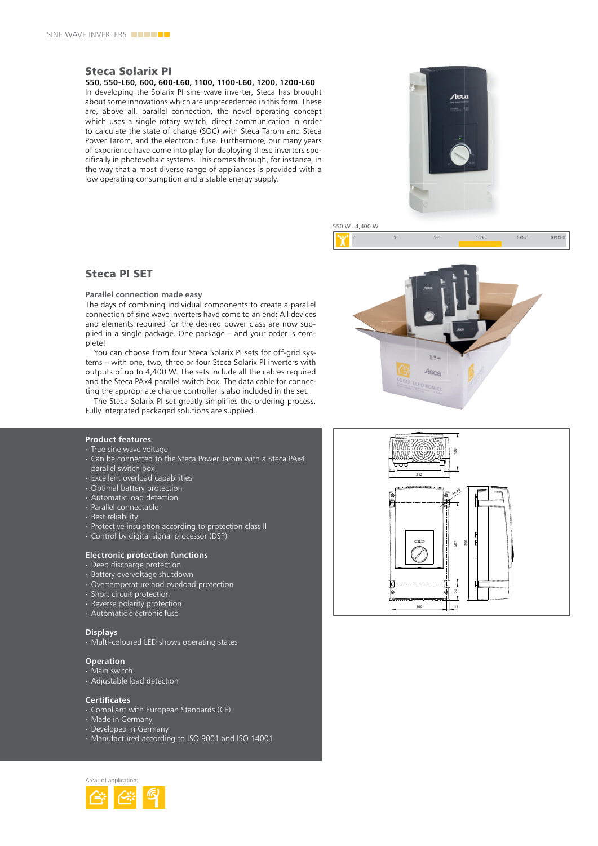# Steca Solarix PI

**550, 550-L60, 600, 600-L60, 1100, 1100-L60, 1200, 1200-L60**

In developing the Solarix PI sine wave inverter, Steca has brought about some innovations which are unprecedented in this form. These are, above all, parallel connection, the novel operating concept which uses a single rotary switch, direct communication in order to calculate the state of charge (SOC) with Steca Tarom and Steca Power Tarom, and the electronic fuse. Furthermore, our many years of experience have come into play for deploying these inverters specifically in photovoltaic systems. This comes through, for instance, in the way that a most diverse range of appliances is provided with a low operating consumption and a stable energy supply.



 $10<sup>c</sup>$ 

550 W...4,400 W

 $10<sup>10</sup>$ 

# Steca PI SET

**Parallel connection made easy**

The days of combining individual components to create a parallel connection of sine wave inverters have come to an end: All devices and elements required for the desired power class are now supplied in a single package. One package – and your order is complete!

You can choose from four Steca Solarix PI sets for off-grid systems – with one, two, three or four Steca Solarix PI inverters with outputs of up to 4,400 w. The sets include all the cables required and the Steca PAx4 parallel switch box. The data cable for connecting the appropriate charge controller is also included in the set.

The Steca Solarix PI set greatly simplifies the ordering process. Fully integrated packaged solutions are supplied.

# **Product features**

- ∙ True sine wave voltage
- ∙ Can be connected to the Steca Power Tarom with a Steca PAx4 parallel switch box
- ∙ excellent overload capabilities
- ∙ Optimal battery protection
- ∙ Automatic load detection
- ∙ Parallel connectable
- ∙ Best reliability
- ∙ Protective insulation according to protection class II
- ∙ Control by digital signal processor (DSP)

### **Electronic protection functions**

- ∙ Deep discharge protection
- ∙ Battery overvoltage shutdown
- ∙ Overtemperature and overload protection
- ∙ Short circuit protection
- ∙ Reverse polarity protection
- ∙ Automatic electronic fuse

## **Displays**

∙ Multi-coloured LeD shows operating states

## **Operation**

- ∙ Main switch
- ∙ Adjustable load detection

### **Certificates**

- ∙ Compliant with european Standards (Ce)
- ∙ Made in Germany
- ∙ Developed in Germany
- ∙ Manufactured according to ISO 9001 and ISO 14001





10000

1000

100000

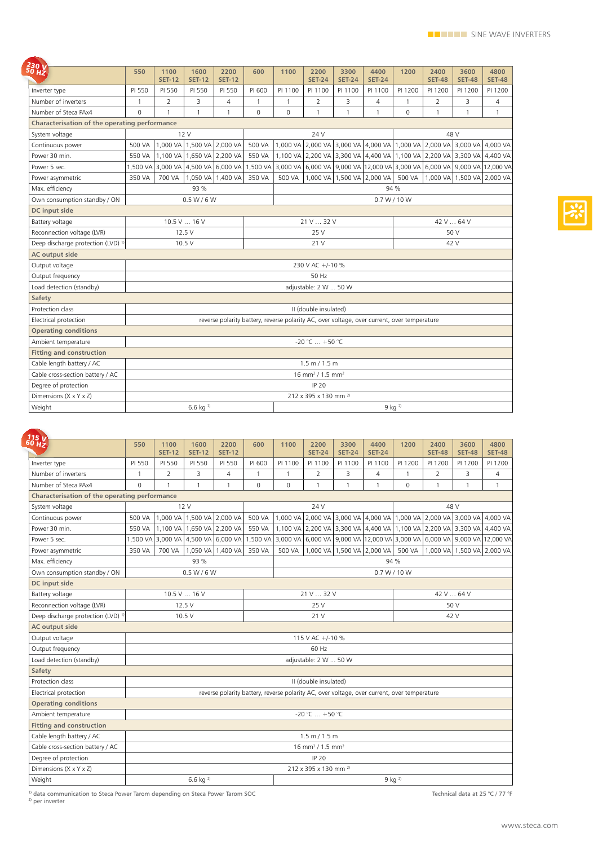| $\frac{230}{50}$ W                                                                      | 550                                                                                         | 1100<br><b>SET-12</b>               | 1600<br><b>SET-12</b> | 2200<br><b>SET-12</b> | 600          | 1100           | 2200<br><b>SET-24</b> | 3300<br><b>SET-24</b>      | 4400<br><b>SET-24</b> | 1200                                                                    | 2400<br><b>SET-48</b> | 3600<br><b>SET-48</b>                                                              | 4800<br><b>SET-48</b> |  |  |
|-----------------------------------------------------------------------------------------|---------------------------------------------------------------------------------------------|-------------------------------------|-----------------------|-----------------------|--------------|----------------|-----------------------|----------------------------|-----------------------|-------------------------------------------------------------------------|-----------------------|------------------------------------------------------------------------------------|-----------------------|--|--|
| Inverter type                                                                           | PI 550                                                                                      | PI 550                              | PI 550                | PI 550                | PI 600       | PI 1100        | PI 1100               | PI 1100                    | PI 1100               | PI 1200                                                                 | PI 1200               | PI 1200                                                                            | PI 1200               |  |  |
| Number of inverters                                                                     | 1                                                                                           | 2                                   | 3                     | 4                     | $\mathbf{1}$ | $\mathbf{1}$   | 2                     | 3                          | 4                     | $\mathbf{1}$                                                            | $\overline{2}$        | 3                                                                                  | 4                     |  |  |
| Number of Steca PAx4                                                                    | $\Omega$                                                                                    | $\mathbf{1}$                        | $\mathbf{1}$          | $\mathbf{1}$          | $\Omega$     | $\mathbf 0$    | $\mathbf{1}$          | $\mathbf{1}$               | $\mathbf{1}$          | $\overline{0}$                                                          | $\mathbf{1}$          | $\mathbf{1}$                                                                       | $\mathbf{1}$          |  |  |
|                                                                                         |                                                                                             |                                     |                       |                       |              |                |                       |                            |                       |                                                                         |                       |                                                                                    |                       |  |  |
| Characterisation of the operating performance<br>48 V<br>System voltage<br>12 V<br>24 V |                                                                                             |                                     |                       |                       |              |                |                       |                            |                       |                                                                         |                       |                                                                                    |                       |  |  |
| Continuous power                                                                        | 1,000 VA<br>1,500 VA 2,000 VA<br>500 VA                                                     |                                     |                       |                       | 500 VA       |                |                       |                            |                       | 1,000 VA 2,000 VA 3,000 VA 4,000 VA 1,000 VA 2,000 VA 3,000 VA 4,000 VA |                       |                                                                                    |                       |  |  |
| Power 30 min.                                                                           | 550 VA                                                                                      | 1.100 VA                            | 1,650 VA 2,200 VA     |                       | 550 VA       |                |                       |                            |                       |                                                                         |                       | 1,100 VA 2,200 VA 3,300 VA 4,400 VA 1,100 VA 2,200 VA 3,300 VA 4,400 VA            |                       |  |  |
| Power 5 sec.                                                                            |                                                                                             | 1,500 VA 3,000 VA 4,500 VA 6,000 VA |                       |                       |              |                |                       |                            |                       |                                                                         |                       | 1,500 VA 3,000 VA 6,000 VA 9,000 VA 12,000 VA 3,000 VA 6,000 VA 9,000 VA 12,000 VA |                       |  |  |
| Power asymmetric                                                                        | 350 VA                                                                                      | 700 VA                              |                       | 1,050 VA 1,400 VA     | 350 VA       | 500 VA         |                       | 1,000 VA 1,500 VA 2,000 VA |                       | 500 VA                                                                  |                       | 1,000 VA 1,500 VA 2,000 VA                                                         |                       |  |  |
|                                                                                         |                                                                                             |                                     | 93 %                  |                       |              |                |                       |                            |                       |                                                                         |                       |                                                                                    |                       |  |  |
| Max. efficiency                                                                         |                                                                                             |                                     |                       |                       |              | 94 %           |                       |                            |                       |                                                                         |                       |                                                                                    |                       |  |  |
| Own consumption standby / ON                                                            | 0.5 W / 6 W<br>0.7 W / 10 W                                                                 |                                     |                       |                       |              |                |                       |                            |                       |                                                                         |                       |                                                                                    |                       |  |  |
| DC input side                                                                           |                                                                                             |                                     |                       |                       |              |                |                       |                            |                       |                                                                         |                       |                                                                                    |                       |  |  |
| Battery voltage                                                                         | 10.5 V 16 V                                                                                 |                                     |                       |                       |              | 21 V  32 V     |                       |                            |                       |                                                                         | 42 V  64 V            |                                                                                    |                       |  |  |
| Reconnection voltage (LVR)                                                              | 12.5V                                                                                       |                                     |                       |                       |              | 25 V           |                       |                            |                       |                                                                         | 50 V                  |                                                                                    |                       |  |  |
| Deep discharge protection (LVD) <sup>1</sup>                                            | 10.5 V                                                                                      |                                     |                       |                       |              |                | 21 V                  |                            |                       | 42 V                                                                    |                       |                                                                                    |                       |  |  |
| <b>AC output side</b>                                                                   |                                                                                             |                                     |                       |                       |              |                |                       |                            |                       |                                                                         |                       |                                                                                    |                       |  |  |
| Output voltage                                                                          | 230 V AC +/-10 %                                                                            |                                     |                       |                       |              |                |                       |                            |                       |                                                                         |                       |                                                                                    |                       |  |  |
| Output frequency                                                                        | 50 Hz                                                                                       |                                     |                       |                       |              |                |                       |                            |                       |                                                                         |                       |                                                                                    |                       |  |  |
| Load detection (standby)                                                                | adjustable: 2 W  50 W                                                                       |                                     |                       |                       |              |                |                       |                            |                       |                                                                         |                       |                                                                                    |                       |  |  |
| Safety                                                                                  |                                                                                             |                                     |                       |                       |              |                |                       |                            |                       |                                                                         |                       |                                                                                    |                       |  |  |
| Protection class                                                                        | II (double insulated)                                                                       |                                     |                       |                       |              |                |                       |                            |                       |                                                                         |                       |                                                                                    |                       |  |  |
| Electrical protection                                                                   | reverse polarity battery, reverse polarity AC, over voltage, over current, over temperature |                                     |                       |                       |              |                |                       |                            |                       |                                                                         |                       |                                                                                    |                       |  |  |
| <b>Operating conditions</b>                                                             |                                                                                             |                                     |                       |                       |              |                |                       |                            |                       |                                                                         |                       |                                                                                    |                       |  |  |
| Ambient temperature                                                                     | -20 °C  +50 °C                                                                              |                                     |                       |                       |              |                |                       |                            |                       |                                                                         |                       |                                                                                    |                       |  |  |
| <b>Fitting and construction</b>                                                         |                                                                                             |                                     |                       |                       |              |                |                       |                            |                       |                                                                         |                       |                                                                                    |                       |  |  |
| Cable length battery / AC                                                               | 1.5 m / 1.5 m                                                                               |                                     |                       |                       |              |                |                       |                            |                       |                                                                         |                       |                                                                                    |                       |  |  |
| Cable cross-section battery / AC                                                        | 16 mm <sup>2</sup> / 1.5 mm <sup>2</sup>                                                    |                                     |                       |                       |              |                |                       |                            |                       |                                                                         |                       |                                                                                    |                       |  |  |
| Degree of protection                                                                    | IP 20                                                                                       |                                     |                       |                       |              |                |                       |                            |                       |                                                                         |                       |                                                                                    |                       |  |  |
| Dimensions (X x Y x Z)                                                                  | 212 x 395 x 130 mm <sup>2)</sup>                                                            |                                     |                       |                       |              |                |                       |                            |                       |                                                                         |                       |                                                                                    |                       |  |  |
| Weight                                                                                  | $6.6$ kg $^{2}$                                                                             |                                     |                       |                       |              | $9$ kg $^{2)}$ |                       |                            |                       |                                                                         |                       |                                                                                    |                       |  |  |

| $\frac{115}{60}$ $\frac{1}{12}$               | 550                                                                                         | 1100<br><b>SET-12</b>               | 1600<br><b>SET-12</b>      | 2200<br><b>SET-12</b>      | 600          | 1100                                                                               | 2200<br><b>SET-24</b>                                                   | 3300<br><b>SET-24</b>          | 4400<br><b>SET-24</b> | 1200         | 2400<br><b>SET-48</b> | 3600                       | 4800           |  |  |
|-----------------------------------------------|---------------------------------------------------------------------------------------------|-------------------------------------|----------------------------|----------------------------|--------------|------------------------------------------------------------------------------------|-------------------------------------------------------------------------|--------------------------------|-----------------------|--------------|-----------------------|----------------------------|----------------|--|--|
|                                               |                                                                                             |                                     |                            |                            |              |                                                                                    |                                                                         |                                |                       |              |                       | <b>SET-48</b>              | <b>SET-48</b>  |  |  |
| Inverter type                                 | PI 550                                                                                      | PI 550                              | PI 550                     | PI 550                     | PI 600       | PI 1100                                                                            | PI 1100                                                                 | PI 1100                        | PI 1100               | PI 1200      | PI 1200               | PI 1200                    | PI 1200        |  |  |
| Number of inverters                           | $\mathbf{1}$                                                                                | $\overline{2}$                      | 3                          | 4                          | $\mathbf{1}$ | $\mathbf{1}$                                                                       | $\overline{2}$                                                          | 3                              | $\overline{4}$        | $\mathbf{1}$ | $\overline{2}$        | 3                          | $\overline{4}$ |  |  |
| Number of Steca PAx4                          | $\overline{0}$                                                                              | $\mathbf{1}$                        | 1                          | $\mathbf{1}$               | $\Omega$     | $\Omega$                                                                           | $\mathbf{1}$                                                            | $\mathbf{1}$                   | $\mathbf{1}$          | $\Omega$     | $\mathbf{1}$          | $\mathbf{1}$               | $\mathbf{1}$   |  |  |
| Characterisation of the operating performance |                                                                                             |                                     |                            |                            |              |                                                                                    |                                                                         |                                |                       |              |                       |                            |                |  |  |
| System voltage                                | 12V                                                                                         |                                     |                            |                            |              |                                                                                    | 24 V                                                                    |                                | 48 V                  |              |                       |                            |                |  |  |
| Continuous power                              | 500 VA                                                                                      |                                     |                            | 1,000 VA 1,500 VA 2,000 VA | 500 VA       |                                                                                    | 1,000 VA 2,000 VA 3,000 VA 4,000 VA 1,000 VA 2,000 VA 3,000 VA 4,000 VA |                                |                       |              |                       |                            |                |  |  |
| Power 30 min.                                 | 550 VA                                                                                      |                                     | 1,100 VA 1,650 VA 2,200 VA |                            | 550 VA       |                                                                                    | 1,100 VA 2,200 VA 3,300 VA 4,400 VA 1,100 VA 2,200 VA 3,300 VA 4,400 VA |                                |                       |              |                       |                            |                |  |  |
| Power 5 sec.                                  |                                                                                             | 1,500 VA 3,000 VA 4,500 VA 6,000 VA |                            |                            |              | 1,500 VA 3,000 VA 6,000 VA 9,000 VA 12,000 VA 3,000 VA 6,000 VA 9,000 VA 12,000 VA |                                                                         |                                |                       |              |                       |                            |                |  |  |
| Power asymmetric                              | 350 VA                                                                                      | 700 VA                              |                            | 1,050 VA 1,400 VA          | 350 VA       | 500 VA                                                                             |                                                                         | 1,000 VA   1,500 VA   2,000 VA |                       | 500 VA       |                       | 1,000 VA 1,500 VA 2,000 VA |                |  |  |
| Max. efficiency                               | 93 %<br>94 %                                                                                |                                     |                            |                            |              |                                                                                    |                                                                         |                                |                       |              |                       |                            |                |  |  |
| Own consumption standby / ON                  | 0.5 W / 6 W                                                                                 |                                     |                            |                            |              | 0.7 W / 10 W                                                                       |                                                                         |                                |                       |              |                       |                            |                |  |  |
| DC input side                                 |                                                                                             |                                     |                            |                            |              |                                                                                    |                                                                         |                                |                       |              |                       |                            |                |  |  |
| Battery voltage                               | 10.5 V  16 V                                                                                |                                     |                            |                            |              | 21 V  32 V                                                                         |                                                                         |                                |                       |              | 42 V  64 V            |                            |                |  |  |
| Reconnection voltage (LVR)                    | 12.5 V                                                                                      |                                     |                            |                            |              | 25 V                                                                               |                                                                         |                                |                       |              | 50 V                  |                            |                |  |  |
| Deep discharge protection (LVD) <sup>1)</sup> |                                                                                             |                                     | 10.5V                      |                            |              | 21 V                                                                               |                                                                         |                                |                       |              | 42 V                  |                            |                |  |  |
| <b>AC output side</b>                         |                                                                                             |                                     |                            |                            |              |                                                                                    |                                                                         |                                |                       |              |                       |                            |                |  |  |
| Output voltage                                | 115 V AC +/-10 %                                                                            |                                     |                            |                            |              |                                                                                    |                                                                         |                                |                       |              |                       |                            |                |  |  |
| Output frequency                              | 60 Hz                                                                                       |                                     |                            |                            |              |                                                                                    |                                                                         |                                |                       |              |                       |                            |                |  |  |
| Load detection (standby)                      | adjustable: 2 W  50 W                                                                       |                                     |                            |                            |              |                                                                                    |                                                                         |                                |                       |              |                       |                            |                |  |  |
| Safety                                        |                                                                                             |                                     |                            |                            |              |                                                                                    |                                                                         |                                |                       |              |                       |                            |                |  |  |
| Protection class                              | II (double insulated)                                                                       |                                     |                            |                            |              |                                                                                    |                                                                         |                                |                       |              |                       |                            |                |  |  |
| Electrical protection                         | reverse polarity battery, reverse polarity AC, over voltage, over current, over temperature |                                     |                            |                            |              |                                                                                    |                                                                         |                                |                       |              |                       |                            |                |  |  |
| <b>Operating conditions</b>                   |                                                                                             |                                     |                            |                            |              |                                                                                    |                                                                         |                                |                       |              |                       |                            |                |  |  |
| Ambient temperature                           | -20 °C  +50 °C                                                                              |                                     |                            |                            |              |                                                                                    |                                                                         |                                |                       |              |                       |                            |                |  |  |
| <b>Fitting and construction</b>               |                                                                                             |                                     |                            |                            |              |                                                                                    |                                                                         |                                |                       |              |                       |                            |                |  |  |
| Cable length battery / AC                     | 1.5 m / 1.5 m                                                                               |                                     |                            |                            |              |                                                                                    |                                                                         |                                |                       |              |                       |                            |                |  |  |
| Cable cross-section battery / AC              | 16 mm <sup>2</sup> / 1.5 mm <sup>2</sup>                                                    |                                     |                            |                            |              |                                                                                    |                                                                         |                                |                       |              |                       |                            |                |  |  |
| Degree of protection                          | <b>IP 20</b>                                                                                |                                     |                            |                            |              |                                                                                    |                                                                         |                                |                       |              |                       |                            |                |  |  |
| Dimensions $(X \times Y \times Z)$            | 212 x 395 x 130 mm <sup>2)</sup>                                                            |                                     |                            |                            |              |                                                                                    |                                                                         |                                |                       |              |                       |                            |                |  |  |
| Weight                                        |                                                                                             |                                     | $6.6$ kg <sup>2)</sup>     |                            |              | $9$ kg <sup>2)</sup>                                                               |                                                                         |                                |                       |              |                       |                            |                |  |  |

1) data communication to Steca Power Tarom depending on Steca Power Tarom SOC technical data at 25 °C / 77 °F 2) per inverter technical data at 25 °C / 77 °F 2) per inverter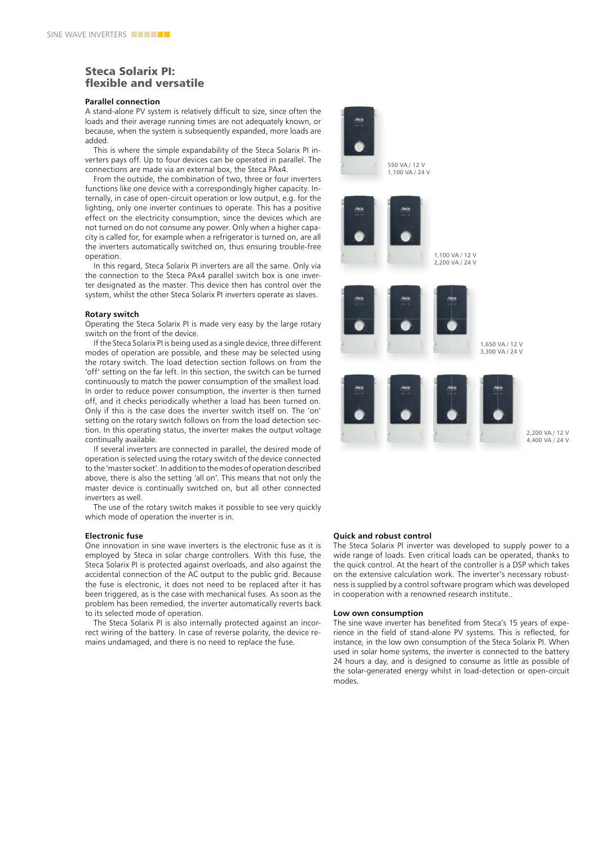# Steca Solarix PI: flexible and versatile

### **Parallel connection**

A stand-alone Pv system is relatively difficult to size, since often the loads and their average running times are not adequately known, or because, when the system is subsequently expanded, more loads are added.

This is where the simple expandability of the Steca Solarix PI inverters pays off. Up to four devices can be operated in parallel. The connections are made via an external box, the Steca PAx4.

From the outside, the combination of two, three or four inverters functions like one device with a correspondingly higher capacity. Internally, in case of open-circuit operation or low output, e.g. for the lighting, only one inverter continues to operate. This has a positive effect on the electricity consumption, since the devices which are not turned on do not consume any power. Only when a higher capacity is called for, for example when a refrigerator is turned on, are all the inverters automatically switched on, thus ensuring trouble-free operation.

In this regard, Steca Solarix PI inverters are all the same. Only via the connection to the Steca PAx4 parallel switch box is one inverter designated as the master. This device then has control over the system, whilst the other Steca Solarix PI inverters operate as slaves.

#### **Rotary switch**

Operating the Steca Solarix PI is made very easy by the large rotary switch on the front of the device.

If the Steca Solarix PI is being used as a single device, three different modes of operation are possible, and these may be selected using the rotary switch. The load detection section follows on from the 'off' setting on the far left. In this section, the switch can be turned continuously to match the power consumption of the smallest load. In order to reduce power consumption, the inverter is then turned off, and it checks periodically whether a load has been turned on. Only if this is the case does the inverter switch itself on. The 'on' setting on the rotary switch follows on from the load detection section. In this operating status, the inverter makes the output voltage continually available.

If several inverters are connected in parallel, the desired mode of operation is selected using the rotary switch of the device connected to the 'master socket'. In addition to the modes of operation described above, there is also the setting 'all on'. This means that not only the master device is continually switched on, but all other connected inverters as well.

The use of the rotary switch makes it possible to see very quickly which mode of operation the inverter is in.

### **Electronic fuse**

One innovation in sine wave inverters is the electronic fuse as it is employed by Steca in solar charge controllers. with this fuse, the Steca Solarix PI is protected against overloads, and also against the accidental connection of the AC output to the public grid. Because the fuse is electronic, it does not need to be replaced after it has been triggered, as is the case with mechanical fuses. As soon as the problem has been remedied, the inverter automatically reverts back to its selected mode of operation.

The Steca Solarix PI is also internally protected against an incorrect wiring of the battery. In case of reverse polarity, the device remains undamaged, and there is no need to replace the fuse.



### **Quick and robust control**

The Steca Solarix PI inverter was developed to supply power to a wide range of loads. Even critical loads can be operated, thanks to the quick control. At the heart of the controller is a DSP which takes on the extensive calculation work. The inverter's necessary robustness is supplied by a control software program which was developed in cooperation with a renowned research institute..

#### **Low own consumption**

The sine wave inverter has benefited from Steca's 15 years of experience in the field of stand-alone Pv systems. This is reflected, for instance, in the low own consumption of the Steca Solarix PI. when used in solar home systems, the inverter is connected to the battery 24 hours a day, and is designed to consume as little as possible of the solar-generated energy whilst in load-detection or open-circuit modes.